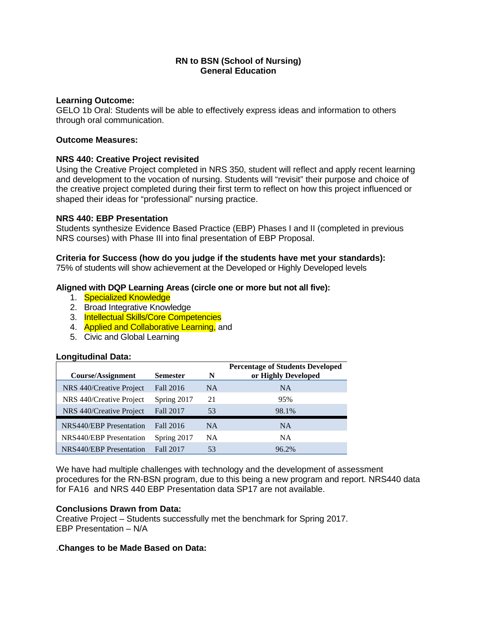## **RN to BSN (School of Nursing) General Education**

### **Learning Outcome:**

GELO 1b Oral: Students will be able to effectively express ideas and information to others through oral communication.

## **Outcome Measures:**

# **NRS 440: Creative Project revisited**

Using the Creative Project completed in NRS 350, student will reflect and apply recent learning and development to the vocation of nursing. Students will "revisit" their purpose and choice of the creative project completed during their first term to reflect on how this project influenced or shaped their ideas for "professional" nursing practice.

## **NRS 440: EBP Presentation**

Students synthesize Evidence Based Practice (EBP) Phases I and II (completed in previous NRS courses) with Phase III into final presentation of EBP Proposal.

## **Criteria for Success (how do you judge if the students have met your standards):**

75% of students will show achievement at the Developed or Highly Developed levels

# **Aligned with DQP Learning Areas (circle one or more but not all five):**

- 1. Specialized Knowledge
- 2. Broad Integrative Knowledge
- 3. Intellectual Skills/Core Competencies
- 4. **Applied and Collaborative Learning, and**
- 5. Civic and Global Learning

### **Longitudinal Data:**

| Course/Assignment        | <b>Semester</b> | N         | <b>Percentage of Students Developed</b><br>or Highly Developed |
|--------------------------|-----------------|-----------|----------------------------------------------------------------|
| NRS 440/Creative Project | Fall 2016       | <b>NA</b> | <b>NA</b>                                                      |
| NRS 440/Creative Project | Spring 2017     | 21        | 95%                                                            |
| NRS 440/Creative Project | Fall 2017       | 53        | 98.1%                                                          |
| NRS440/EBP Presentation  | Fall 2016       | <b>NA</b> | <b>NA</b>                                                      |
| NRS440/EBP Presentation  | Spring 2017     | <b>NA</b> | <b>NA</b>                                                      |
| NRS440/EBP Presentation  | Fall 2017       | 53        | 96.2%                                                          |

We have had multiple challenges with technology and the development of assessment procedures for the RN-BSN program, due to this being a new program and report. NRS440 data for FA16 and NRS 440 EBP Presentation data SP17 are not available.

### **Conclusions Drawn from Data:**

Creative Project – Students successfully met the benchmark for Spring 2017. EBP Presentation – N/A

### .**Changes to be Made Based on Data:**